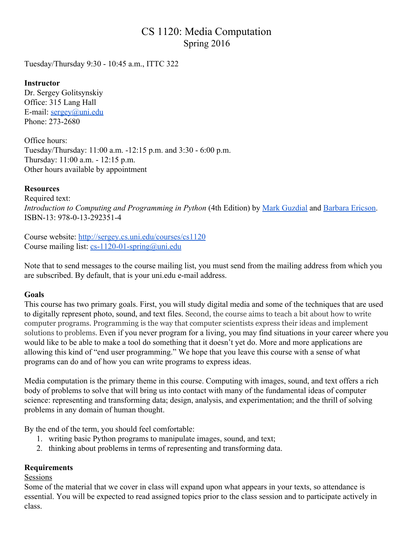# CS 1120: Media Computation Spring 2016

Tuesday/Thursday 9:30 10:45 a.m., ITTC 322

## **Instructor**

Dr. Sergey Golitsynskiy Office: 315 Lang Hall E-mail:  $sergey(\omega)$ uni.edu Phone:  $273 - 2680$ 

Office hours: Tuesday/Thursday: 11:00 a.m. 12:15 p.m. and 3:30 6:00 p.m. Thursday: 11:00 a.m. 12:15 p.m. Other hours available by appointment

## **Resources**

Required text: *Introduction to Computing and Programming in Python* (4th Edition) by Mark [Guzdial](http://www.cc.gatech.edu/~mark.guzdial/) and [Barbara](http://barbara-ericson.strikingly.com/) Ericson. ISBN-13: 978-0-13-292351-4

Course website: <http://sergey.cs.uni.edu/courses/cs1120> Course mailing list:  $cs-1120-01$ -spring@uni.edu

Note that to send messages to the course mailing list, you must send from the mailing address from which you are subscribed. By default, that is your uni.edu e-mail address.

## **Goals**

This course has two primary goals. First, you will study digital media and some of the techniques that are used to digitally represent photo, sound, and text files. Second, the course aims to teach a bit about how to write computer programs. Programming is the way that computer scientists express their ideas and implement solutions to problems. Even if you never program for a living, you may find situations in your career where you would like to be able to make a tool do something that it doesn't yet do. More and more applications are allowing this kind of "end user programming." We hope that you leave this course with a sense of what programs can do and of how you can write programs to express ideas.

Media computation is the primary theme in this course. Computing with images, sound, and text offers a rich body of problems to solve that will bring us into contact with many of the fundamental ideas of computer science: representing and transforming data; design, analysis, and experimentation; and the thrill of solving problems in any domain of human thought.

By the end of the term, you should feel comfortable:

- 1. writing basic Python programs to manipulate images, sound, and text;
- 2. thinking about problems in terms of representing and transforming data.

#### **Requirements**

#### Sessions

Some of the material that we cover in class will expand upon what appears in your texts, so attendance is essential. You will be expected to read assigned topics prior to the class session and to participate actively in class.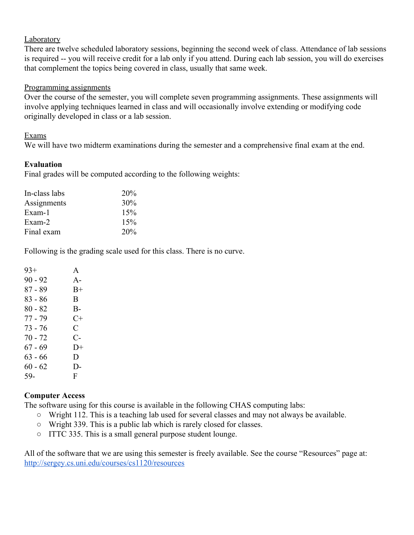#### Laboratory

There are twelve scheduled laboratory sessions, beginning the second week of class. Attendance of lab sessions is required -- you will receive credit for a lab only if you attend. During each lab session, you will do exercises that complement the topics being covered in class, usually that same week.

#### Programming assignments

Over the course of the semester, you will complete seven programming assignments. These assignments will involve applying techniques learned in class and will occasionally involve extending or modifying code originally developed in class or a lab session.

## Exams

We will have two midterm examinations during the semester and a comprehensive final exam at the end.

## **Evaluation**

Final grades will be computed according to the following weights:

| <b>20%</b> |
|------------|
| 30%        |
| 15%        |
| 15%        |
| 20%        |
|            |

Following is the grading scale used for this class. There is no curve.

| A      |
|--------|
| $A -$  |
| $B+$   |
| B      |
| B-     |
| $C+$   |
| C      |
| C-     |
| $1) +$ |
| D      |
| D-     |
| F      |
|        |

## **Computer Access**

The software using for this course is available in the following CHAS computing labs:

- Wright 112. This is a teaching lab used for several classes and may not always be available.
- Wright 339. This is a public lab which is rarely closed for classes.
- ITTC 335. This is a small general purpose student lounge.

All of the software that we are using this semester is freely available. See the course "Resources" page at: <http://sergey.cs.uni.edu/courses/cs1120/resources>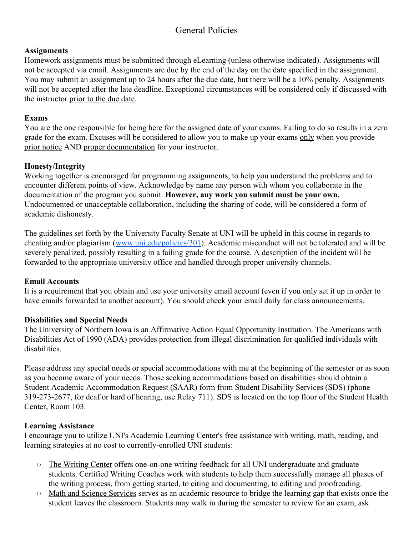## General Policies

## **Assignments**

Homework assignments must be submitted through eLearning (unless otherwise indicated). Assignments will not be accepted via email. Assignments are due by the end of the day on the date specified in the assignment. You may submit an assignment up to 24 hours after the due date, but there will be a 10% penalty. Assignments will not be accepted after the late deadline. Exceptional circumstances will be considered only if discussed with the instructor prior to the due date.

## **Exams**

You are the one responsible for being here for the assigned date of your exams. Failing to do so results in a zero grade for the exam. Excuses will be considered to allow you to make up your exams only when you provide prior notice AND proper documentation for your instructor.

## **Honesty/Integrity**

Working together is encouraged for programming assignments, to help you understand the problems and to encounter different points of view. Acknowledge by name any person with whom you collaborate in the documentation of the program you submit. **However, any work you submit must be your own.** Undocumented or unacceptable collaboration, including the sharing of code, will be considered a form of academic dishonesty.

The guidelines set forth by the University Faculty Senate at UNI will be upheld in this course in regards to cheating and/or plagiarism [\(www.uni.edu/policies/301\)](http://www.uni.edu/policies/301). Academic misconduct will not be tolerated and will be severely penalized, possibly resulting in a failing grade for the course. A description of the incident will be forwarded to the appropriate university office and handled through proper university channels.

## **Email Accounts**

It is a requirement that you obtain and use your university email account (even if you only set it up in order to have emails forwarded to another account). You should check your email daily for class announcements.

## **Disabilities and Special Needs**

The University of Northern Iowa is an Affirmative Action Equal Opportunity Institution. The Americans with Disabilities Act of 1990 (ADA) provides protection from illegal discrimination for qualified individuals with disabilities.

Please address any special needs or special accommodations with me at the beginning of the semester or as soon as you become aware of your needs. Those seeking accommodations based on disabilities should obtain a Student Academic Accommodation Request (SAAR) form from Student Disability Services (SDS) (phone 3192732677, for deaf or hard of hearing, use Relay 711). SDS is located on the top floor of the Student Health Center, Room 103.

## **Learning Assistance**

I encourage you to utilize UNI's Academic Learning Center's free assistance with writing, math, reading, and learning strategies at no cost to currently-enrolled UNI students:

- The Writing Center offers one-on-one writing feedback for all UNI undergraduate and graduate students. Certified Writing Coaches work with students to help them successfully manage all phases of the writing process, from getting started, to citing and documenting, to editing and proofreading.
- Math and Science Services serves as an academic resource to bridge the learning gap that exists once the student leaves the classroom. Students may walk in during the semester to review for an exam, ask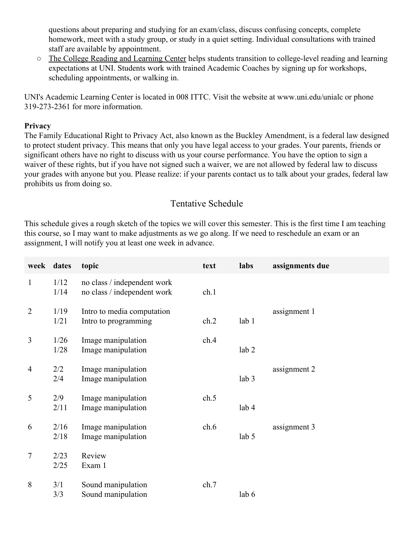questions about preparing and studying for an exam/class, discuss confusing concepts, complete homework, meet with a study group, or study in a quiet setting. Individual consultations with trained staff are available by appointment.

 $\circ$  The College Reading and Learning Center helps students transition to college-level reading and learning expectations at UNI. Students work with trained Academic Coaches by signing up for workshops, scheduling appointments, or walking in.

UNI's Academic Learning Center is located in 008 ITTC. Visit the website at www.uni.edu/unialc or phone 3192732361 for more information.

#### **Privacy**

The Family Educational Right to Privacy Act, also known as the Buckley Amendment, is a federal law designed to protect student privacy. This means that only you have legal access to your grades. Your parents, friends or significant others have no right to discuss with us your course performance. You have the option to sign a waiver of these rights, but if you have not signed such a waiver, we are not allowed by federal law to discuss your grades with anyone but you. Please realize: if your parents contact us to talk about your grades, federal law prohibits us from doing so.

## Tentative Schedule

This schedule gives a rough sketch of the topics we will cover this semester. This is the first time I am teaching this course, so I may want to make adjustments as we go along. If we need to reschedule an exam or an assignment, I will notify you at least one week in advance.

| week dates     |              | topic                                                      | text | labs             | assignments due |
|----------------|--------------|------------------------------------------------------------|------|------------------|-----------------|
| $\mathbf{1}$   | 1/12<br>1/14 | no class / independent work<br>no class / independent work | ch.1 |                  |                 |
| $\overline{2}$ | 1/19<br>1/21 | Intro to media computation<br>Intro to programming         | ch.2 | lab <sub>1</sub> | assignment 1    |
| 3              | 1/26<br>1/28 | Image manipulation<br>Image manipulation                   | ch.4 | lab <sub>2</sub> |                 |
| $\overline{4}$ | 2/2<br>2/4   | Image manipulation<br>Image manipulation                   |      | lab 3            | assignment 2    |
| 5              | 2/9<br>2/11  | Image manipulation<br>Image manipulation                   | ch.5 | lab 4            |                 |
| 6              | 2/16<br>2/18 | Image manipulation<br>Image manipulation                   | ch.6 | lab 5            | assignment 3    |
| $\tau$         | 2/23<br>2/25 | Review<br>Exam 1                                           |      |                  |                 |
| 8              | 3/1<br>3/3   | Sound manipulation<br>Sound manipulation                   | ch.7 | lab 6            |                 |